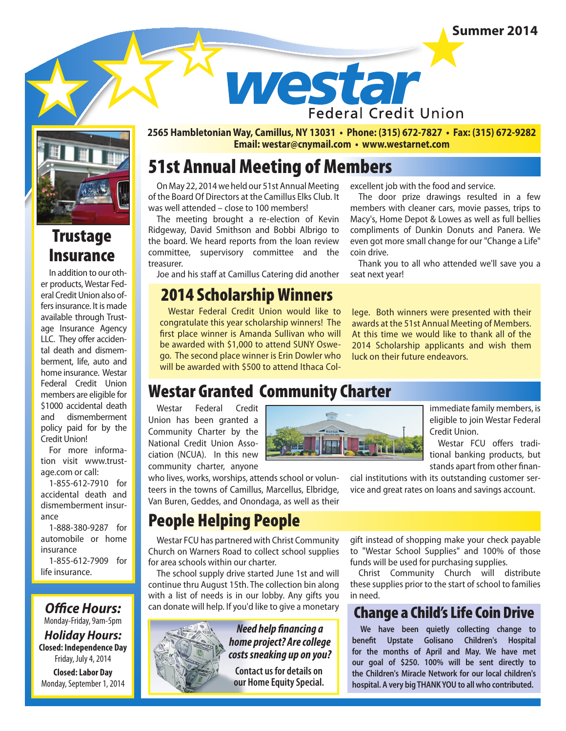### **Summer 2014**



# **Trustage** Insurance

In addition to our other products, Westar Federal Credit Union also offers insurance. It is made available through Trustage Insurance Agency LLC. They offer accidental death and dismemberment, life, auto and home insurance. Westar Federal Credit Union members are eligible for \$1000 accidental death and dismemberment policy paid for by the Credit Union!

For more information visit www.trustage.com or call:

1-855-612-7910 for accidental death and dismemberment insurance

1-888-380-9287 for automobile or home insurance

1-855-612-7909 for life insurance.

**Office Hours:** Monday-Friday, 9am-5pm *Holiday Hours:* **Closed: Independence Day** Friday, July 4, 2014

**Closed: Labor Day** Monday, September 1, 2014 **2565 Hambletonian Way, Camillus, NY 13031 • Phone: (315) 672-7827 • Fax: (315) 672-9282 Email: westar@cnymail.com • www.westarnet.com**

**Federal Credit Union** 

westar

# 51st Annual Meeting of Members

On May 22, 2014 we held our 51st Annual Meeting of the Board Of Directors at the Camillus Elks Club. It was well attended – close to 100 members!

The meeting brought a re-election of Kevin Ridgeway, David Smithson and Bobbi Albrigo to the board. We heard reports from the loan review committee, supervisory committee and the treasurer.

Joe and his staff at Camillus Catering did another

### 2014 Scholarship Winners

Westar Federal Credit Union would like to congratulate this year scholarship winners! The first place winner is Amanda Sullivan who will be awarded with \$1,000 to attend SUNY Oswego. The second place winner is Erin Dowler who will be awarded with \$500 to attend Ithaca Colexcellent job with the food and service.

The door prize drawings resulted in a few members with cleaner cars, movie passes, trips to Macy's, Home Depot & Lowes as well as full bellies compliments of Dunkin Donuts and Panera. We even got more small change for our "Change a Life" coin drive.

Thank you to all who attended we'll save you a seat next year!

lege. Both winners were presented with their awards at the 51st Annual Meeting of Members. At this time we would like to thank all of the 2014 Scholarship applicants and wish them luck on their future endeavors.

## Westar Granted Community Charter

Westar Federal Credit Union has been granted a Community Charter by the National Credit Union Association (NCUA). In this new community charter, anyone

who lives, works, worships, attends school or volunteers in the towns of Camillus, Marcellus, Elbridge, Van Buren, Geddes, and Onondaga, as well as their

immediate family members, is eligible to join Westar Federal Credit Union.

Westar FCU offers traditional banking products, but stands apart from other finan-

cial institutions with its outstanding customer service and great rates on loans and savings account.

### People Helping People

Westar FCU has partnered with Christ Community Church on Warners Road to collect school supplies for area schools within our charter.

The school supply drive started June 1st and will continue thru August 15th. The collection bin along with a list of needs is in our lobby. Any gifts you can donate will help. If you'd like to give a monetary



*Need help nancing a home project? Are college costs sneaking up on you?* 

**Contact us for details on our Home Equity Special.** 

gift instead of shopping make your check payable to "Westar School Supplies" and 100% of those funds will be used for purchasing supplies.

Christ Community Church will distribute these supplies prior to the start of school to families in need.

## Change a Child's Life Coin Drive

**We have been quietly collecting change to**  benefit Upstate Golisano Children's Hospital **for the months of April and May. We have met our goal of \$250. 100% will be sent directly to the Children's Miracle Network for our local children's hospital. A very big THANK YOU to all who contributed.**